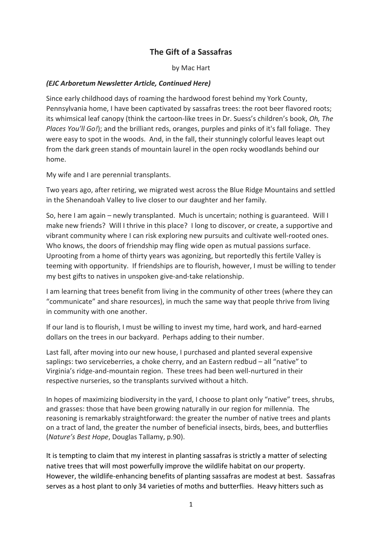#### **The Gift of a Sassafras**

by Mac Hart

#### *(EJC Arboretum Newsletter Article, Continued Here)*

Since early childhood days of roaming the hardwood forest behind my York County, Pennsylvania home, I have been captivated by sassafras trees: the root beer flavored roots; its whimsical leaf canopy (think the cartoon-like trees in Dr. Suess's children's book, *Oh, The Places You'll Go!*); and the brilliant reds, oranges, purples and pinks of it's fall foliage. They were easy to spot in the woods. And, in the fall, their stunningly colorful leaves leapt out from the dark green stands of mountain laurel in the open rocky woodlands behind our home.

My wife and I are perennial transplants.

Two years ago, after retiring, we migrated west across the Blue Ridge Mountains and settled in the Shenandoah Valley to live closer to our daughter and her family.

So, here I am again – newly transplanted. Much is uncertain; nothing is guaranteed. Will I make new friends? Will I thrive in this place? I long to discover, or create, a supportive and vibrant community where I can risk exploring new pursuits and cultivate well-rooted ones. Who knows, the doors of friendship may fling wide open as mutual passions surface. Uprooting from a home of thirty years was agonizing, but reportedly this fertile Valley is teeming with opportunity. If friendships are to flourish, however, I must be willing to tender my best gifts to natives in unspoken give-and-take relationship.

I am learning that trees benefit from living in the community of other trees (where they can "communicate" and share resources), in much the same way that people thrive from living in community with one another.

If our land is to flourish, I must be willing to invest my time, hard work, and hard-earned dollars on the trees in our backyard. Perhaps adding to their number.

Last fall, after moving into our new house, I purchased and planted several expensive saplings: two serviceberries, a choke cherry, and an Eastern redbud – all "native" to Virginia's ridge-and-mountain region. These trees had been well-nurtured in their respective nurseries, so the transplants survived without a hitch.

In hopes of maximizing biodiversity in the yard, I choose to plant only "native" trees, shrubs, and grasses: those that have been growing naturally in our region for millennia. The reasoning is remarkably straightforward: the greater the number of native trees and plants on a tract of land, the greater the number of beneficial insects, birds, bees, and butterflies (*Nature's Best Hope*, Douglas Tallamy, p.90).

It is tempting to claim that my interest in planting sassafras is strictly a matter of selecting native trees that will most powerfully improve the wildlife habitat on our property. However, the wildlife-enhancing benefits of planting sassafras are modest at best. Sassafras serves as a host plant to only 34 varieties of moths and butterflies. Heavy hitters such as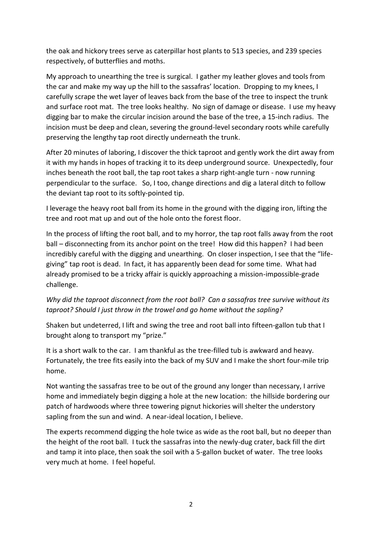the oak and hickory trees serve as caterpillar host plants to 513 species, and 239 species respectively, of butterflies and moths.

My approach to unearthing the tree is surgical. I gather my leather gloves and tools from the car and make my way up the hill to the sassafras' location. Dropping to my knees, I carefully scrape the wet layer of leaves back from the base of the tree to inspect the trunk and surface root mat. The tree looks healthy. No sign of damage or disease. I use my heavy digging bar to make the circular incision around the base of the tree, a 15-inch radius. The incision must be deep and clean, severing the ground-level secondary roots while carefully preserving the lengthy tap root directly underneath the trunk.

After 20 minutes of laboring, I discover the thick taproot and gently work the dirt away from it with my hands in hopes of tracking it to its deep underground source. Unexpectedly, four inches beneath the root ball, the tap root takes a sharp right-angle turn - now running perpendicular to the surface. So, I too, change directions and dig a lateral ditch to follow the deviant tap root to its softly-pointed tip.

I leverage the heavy root ball from its home in the ground with the digging iron, lifting the tree and root mat up and out of the hole onto the forest floor.

In the process of lifting the root ball, and to my horror, the tap root falls away from the root ball – disconnecting from its anchor point on the tree! How did this happen? I had been incredibly careful with the digging and unearthing. On closer inspection, I see that the "lifegiving" tap root is dead. In fact, it has apparently been dead for some time. What had already promised to be a tricky affair is quickly approaching a mission-impossible-grade challenge.

#### *Why did the taproot disconnect from the root ball? Can a sassafras tree survive without its taproot? Should I just throw in the trowel and go home without the sapling?*

Shaken but undeterred, I lift and swing the tree and root ball into fifteen-gallon tub that I brought along to transport my "prize."

It is a short walk to the car. I am thankful as the tree-filled tub is awkward and heavy. Fortunately, the tree fits easily into the back of my SUV and I make the short four-mile trip home.

Not wanting the sassafras tree to be out of the ground any longer than necessary, I arrive home and immediately begin digging a hole at the new location: the hillside bordering our patch of hardwoods where three towering pignut hickories will shelter the understory sapling from the sun and wind. A near-ideal location, I believe.

The experts recommend digging the hole twice as wide as the root ball, but no deeper than the height of the root ball. I tuck the sassafras into the newly-dug crater, back fill the dirt and tamp it into place, then soak the soil with a 5-gallon bucket of water. The tree looks very much at home. I feel hopeful.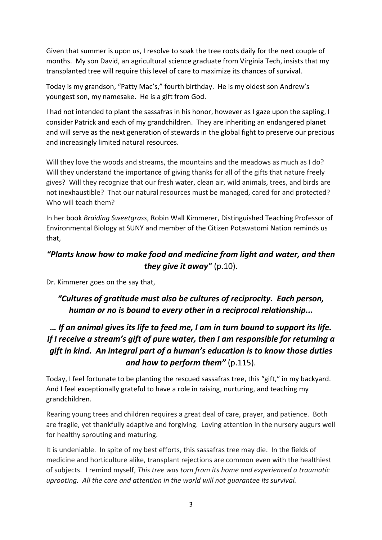Given that summer is upon us, I resolve to soak the tree roots daily for the next couple of months. My son David, an agricultural science graduate from Virginia Tech, insists that my transplanted tree will require this level of care to maximize its chances of survival.

Today is my grandson, "Patty Mac's," fourth birthday. He is my oldest son Andrew's youngest son, my namesake. He is a gift from God.

I had not intended to plant the sassafras in his honor, however as I gaze upon the sapling, I consider Patrick and each of my grandchildren. They are inheriting an endangered planet and will serve as the next generation of stewards in the global fight to preserve our precious and increasingly limited natural resources.

Will they love the woods and streams, the mountains and the meadows as much as I do? Will they understand the importance of giving thanks for all of the gifts that nature freely gives? Will they recognize that our fresh water, clean air, wild animals, trees, and birds are not inexhaustible? That our natural resources must be managed, cared for and protected? Who will teach them?

In her book *Braiding Sweetgrass*, Robin Wall Kimmerer, Distinguished Teaching Professor of Environmental Biology at SUNY and member of the Citizen Potawatomi Nation reminds us that,

## *"Plants know how to make food and medicine from light and water, and then they give it away"* (p.10).

Dr. Kimmerer goes on the say that,

### *"Cultures of gratitude must also be cultures of reciprocity. Each person, human or no is bound to every other in a reciprocal relationship...*

# *… If an animal gives its life to feed me, I am in turn bound to support its life. If I receive a stream's gift of pure water, then I am responsible for returning a gift in kind. An integral part of a human's education is to know those duties and how to perform them"* (p.115).

Today, I feel fortunate to be planting the rescued sassafras tree, this "gift," in my backyard. And I feel exceptionally grateful to have a role in raising, nurturing, and teaching my grandchildren.

Rearing young trees and children requires a great deal of care, prayer, and patience. Both are fragile, yet thankfully adaptive and forgiving. Loving attention in the nursery augurs well for healthy sprouting and maturing.

It is undeniable. In spite of my best efforts, this sassafras tree may die. In the fields of medicine and horticulture alike, transplant rejections are common even with the healthiest of subjects. I remind myself, *This tree was torn from its home and experienced a traumatic uprooting. All the care and attention in the world will not guarantee its survival.*